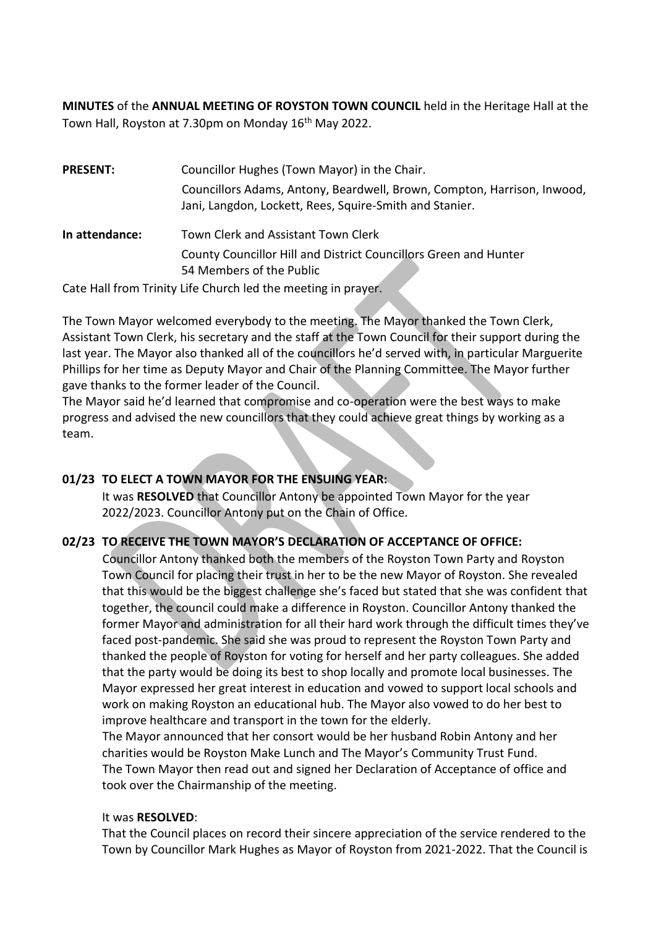**MINUTES** of the **ANNUAL MEETING OF ROYSTON TOWN COUNCIL** held in the Heritage Hall at the Town Hall, Royston at 7.30pm on Monday 16<sup>th</sup> May 2022.

| <b>PRESENT:</b> | Councillor Hughes (Town Mayor) in the Chair.                                                                                       |
|-----------------|------------------------------------------------------------------------------------------------------------------------------------|
|                 | Councillors Adams, Antony, Beardwell, Brown, Compton, Harrison, Inwood,<br>Jani, Langdon, Lockett, Rees, Squire-Smith and Stanier. |
| In attendance:  | Town Clerk and Assistant Town Clerk                                                                                                |
|                 | County Councillor Hill and District Councillors Green and Hunter<br>54 Members of the Public                                       |
|                 |                                                                                                                                    |

Cate Hall from Trinity Life Church led the meeting in prayer.

The Town Mayor welcomed everybody to the meeting. The Mayor thanked the Town Clerk, Assistant Town Clerk, his secretary and the staff at the Town Council for their support during the last year. The Mayor also thanked all of the councillors he'd served with, in particular Marguerite Phillips for her time as Deputy Mayor and Chair of the Planning Committee. The Mayor further gave thanks to the former leader of the Council.

The Mayor said he'd learned that compromise and co-operation were the best ways to make progress and advised the new councillors that they could achieve great things by working as a team.

# **01/23 TO ELECT A TOWN MAYOR FOR THE ENSUING YEAR:**

It was **RESOLVED** that Councillor Antony be appointed Town Mayor for the year 2022/2023. Councillor Antony put on the Chain of Office.

# **02/23 TO RECEIVE THE TOWN MAYOR'S DECLARATION OF ACCEPTANCE OF OFFICE:**

Councillor Antony thanked both the members of the Royston Town Party and Royston Town Council for placing their trust in her to be the new Mayor of Royston. She revealed that this would be the biggest challenge she's faced but stated that she was confident that together, the council could make a difference in Royston. Councillor Antony thanked the former Mayor and administration for all their hard work through the difficult times they've faced post-pandemic. She said she was proud to represent the Royston Town Party and thanked the people of Royston for voting for herself and her party colleagues. She added that the party would be doing its best to shop locally and promote local businesses. The Mayor expressed her great interest in education and vowed to support local schools and work on making Royston an educational hub. The Mayor also vowed to do her best to improve healthcare and transport in the town for the elderly.

The Mayor announced that her consort would be her husband Robin Antony and her charities would be Royston Make Lunch and The Mayor's Community Trust Fund. The Town Mayor then read out and signed her Declaration of Acceptance of office and took over the Chairmanship of the meeting.

### It was **RESOLVED**:

That the Council places on record their sincere appreciation of the service rendered to the Town by Councillor Mark Hughes as Mayor of Royston from 2021-2022. That the Council is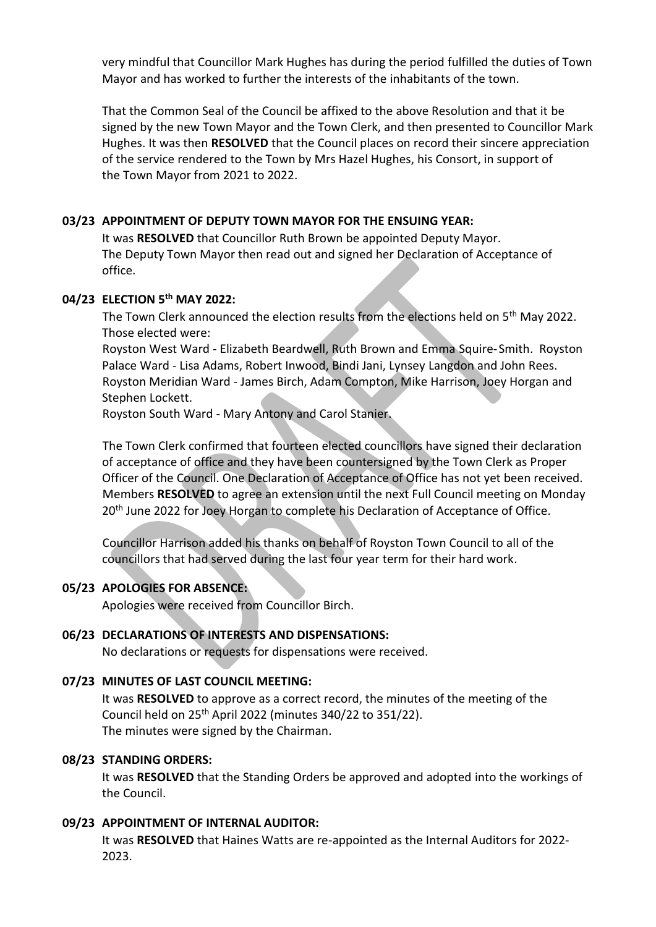very mindful that Councillor Mark Hughes has during the period fulfilled the duties of Town Mayor and has worked to further the interests of the inhabitants of the town.

That the Common Seal of the Council be affixed to the above Resolution and that it be signed by the new Town Mayor and the Town Clerk, and then presented to Councillor Mark Hughes. It was then **RESOLVED** that the Council places on record their sincere appreciation of the service rendered to the Town by Mrs Hazel Hughes, his Consort, in support of the Town Mayor from 2021 to 2022.

#### **03/23 APPOINTMENT OF DEPUTY TOWN MAYOR FOR THE ENSUING YEAR:**

It was **RESOLVED** that Councillor Ruth Brown be appointed Deputy Mayor. The Deputy Town Mayor then read out and signed her Declaration of Acceptance of office.

#### **04/23 ELECTION 5 th MAY 2022:**

The Town Clerk announced the election results from the elections held on 5<sup>th</sup> May 2022. Those elected were:

Royston West Ward - Elizabeth Beardwell, Ruth Brown and Emma Squire-Smith. Royston Palace Ward - Lisa Adams, Robert Inwood, Bindi Jani, Lynsey Langdon and John Rees. Royston Meridian Ward - James Birch, Adam Compton, Mike Harrison, Joey Horgan and Stephen Lockett.

Royston South Ward - Mary Antony and Carol Stanier.

The Town Clerk confirmed that fourteen elected councillors have signed their declaration of acceptance of office and they have been countersigned by the Town Clerk as Proper Officer of the Council. One Declaration of Acceptance of Office has not yet been received. Members **RESOLVED** to agree an extension until the next Full Council meeting on Monday 20<sup>th</sup> June 2022 for Joey Horgan to complete his Declaration of Acceptance of Office.

Councillor Harrison added his thanks on behalf of Royston Town Council to all of the councillors that had served during the last four year term for their hard work.

#### **05/23 APOLOGIES FOR ABSENCE:**

Apologies were received from Councillor Birch.

#### **06/23 DECLARATIONS OF INTERESTS AND DISPENSATIONS:**

No declarations or requests for dispensations were received.

### **07/23 MINUTES OF LAST COUNCIL MEETING:**

It was **RESOLVED** to approve as a correct record, the minutes of the meeting of the Council held on  $25<sup>th</sup>$  April 2022 (minutes 340/22 to 351/22). The minutes were signed by the Chairman.

#### **08/23 STANDING ORDERS:**

It was **RESOLVED** that the Standing Orders be approved and adopted into the workings of the Council.

#### **09/23 APPOINTMENT OF INTERNAL AUDITOR:**

It was **RESOLVED** that Haines Watts are re-appointed as the Internal Auditors for 2022- 2023.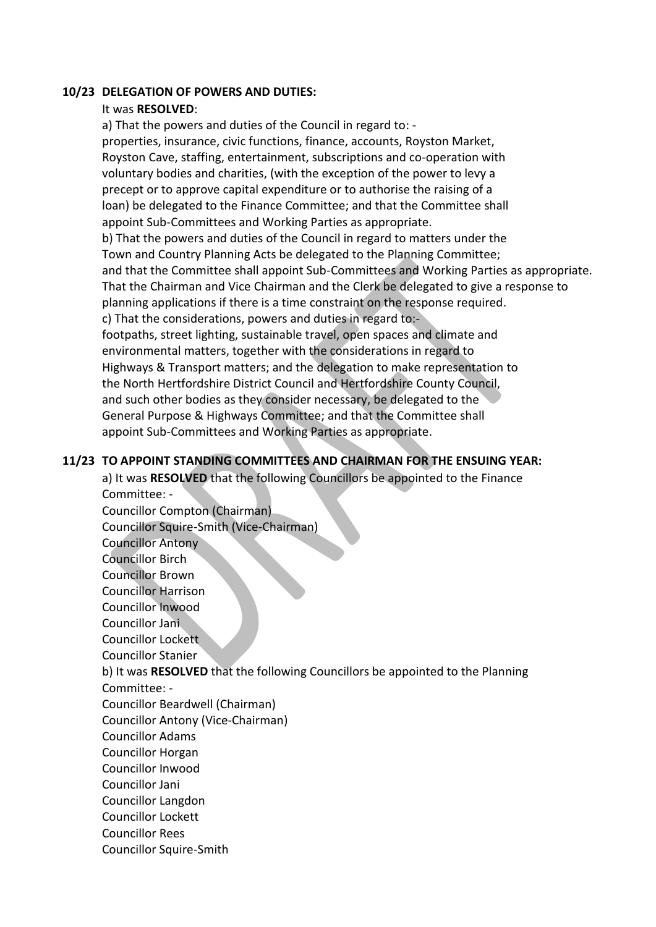#### **10/23 DELEGATION OF POWERS AND DUTIES:**

#### It was **RESOLVED**:

a) That the powers and duties of the Council in regard to: properties, insurance, civic functions, finance, accounts, Royston Market, Royston Cave, staffing, entertainment, subscriptions and co-operation with voluntary bodies and charities, (with the exception of the power to levy a precept or to approve capital expenditure or to authorise the raising of a loan) be delegated to the Finance Committee; and that the Committee shall appoint Sub-Committees and Working Parties as appropriate. b) That the powers and duties of the Council in regard to matters under the Town and Country Planning Acts be delegated to the Planning Committee; and that the Committee shall appoint Sub-Committees and Working Parties as appropriate. That the Chairman and Vice Chairman and the Clerk be delegated to give a response to planning applications if there is a time constraint on the response required. c) That the considerations, powers and duties in regard to: footpaths, street lighting, sustainable travel, open spaces and climate and environmental matters, together with the considerations in regard to Highways & Transport matters; and the delegation to make representation to the North Hertfordshire District Council and Hertfordshire County Council, and such other bodies as they consider necessary, be delegated to the General Purpose & Highways Committee; and that the Committee shall appoint Sub-Committees and Working Parties as appropriate.

### **11/23 TO APPOINT STANDING COMMITTEES AND CHAIRMAN FOR THE ENSUING YEAR:**

a) It was **RESOLVED** that the following Councillors be appointed to the Finance Committee: - Councillor Compton (Chairman) Councillor Squire-Smith (Vice-Chairman) Councillor Antony Councillor Birch Councillor Brown Councillor Harrison Councillor Inwood Councillor Jani Councillor Lockett Councillor Stanier b) It was **RESOLVED** that the following Councillors be appointed to the Planning Committee: - Councillor Beardwell (Chairman) Councillor Antony (Vice-Chairman) Councillor Adams Councillor Horgan Councillor Inwood Councillor Jani Councillor Langdon Councillor Lockett Councillor Rees Councillor Squire-Smith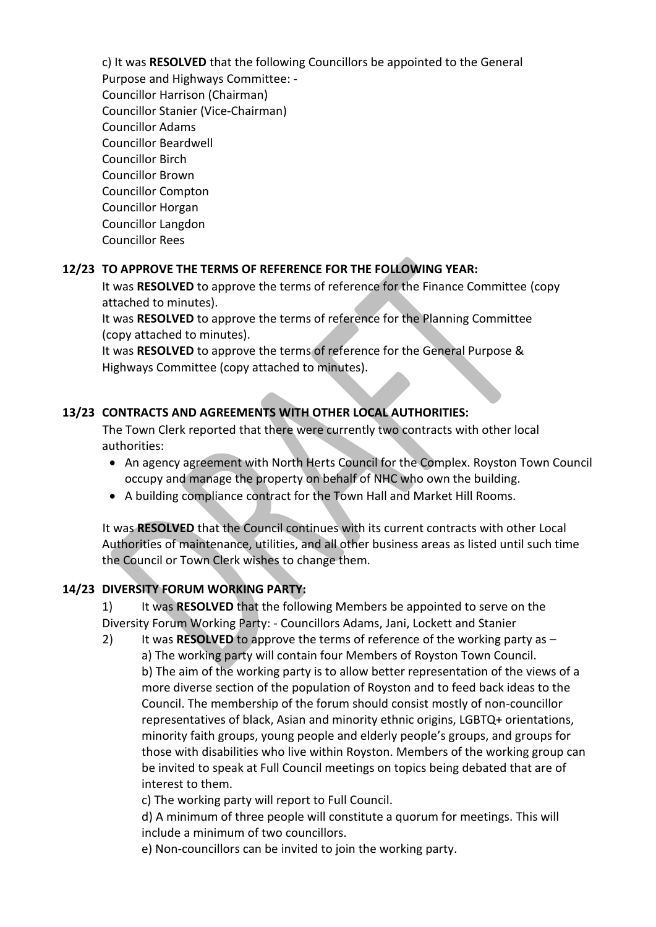c) It was **RESOLVED** that the following Councillors be appointed to the General Purpose and Highways Committee: - Councillor Harrison (Chairman) Councillor Stanier (Vice-Chairman) Councillor Adams Councillor Beardwell Councillor Birch Councillor Brown Councillor Compton Councillor Horgan Councillor Langdon Councillor Rees

### **12/23 TO APPROVE THE TERMS OF REFERENCE FOR THE FOLLOWING YEAR:**

It was **RESOLVED** to approve the terms of reference for the Finance Committee (copy attached to minutes).

It was **RESOLVED** to approve the terms of reference for the Planning Committee (copy attached to minutes).

It was **RESOLVED** to approve the terms of reference for the General Purpose & Highways Committee (copy attached to minutes).

## **13/23 CONTRACTS AND AGREEMENTS WITH OTHER LOCAL AUTHORITIES:**

The Town Clerk reported that there were currently two contracts with other local authorities:

- An agency agreement with North Herts Council for the Complex. Royston Town Council occupy and manage the property on behalf of NHC who own the building.
- A building compliance contract for the Town Hall and Market Hill Rooms.

It was **RESOLVED** that the Council continues with its current contracts with other Local Authorities of maintenance, utilities, and all other business areas as listed until such time the Council or Town Clerk wishes to change them.

### **14/23 DIVERSITY FORUM WORKING PARTY:**

1) It was **RESOLVED** that the following Members be appointed to serve on the Diversity Forum Working Party: - Councillors Adams, Jani, Lockett and Stanier

2) It was **RESOLVED** to approve the terms of reference of the working party as – a) The working party will contain four Members of Royston Town Council. b) The aim of the working party is to allow better representation of the views of a more diverse section of the population of Royston and to feed back ideas to the Council. The membership of the forum should consist mostly of non-councillor representatives of black, Asian and minority ethnic origins, LGBTQ+ orientations, minority faith groups, young people and elderly people's groups, and groups for those with disabilities who live within Royston. Members of the working group can be invited to speak at Full Council meetings on topics being debated that are of interest to them.

c) The working party will report to Full Council.

d) A minimum of three people will constitute a quorum for meetings. This will include a minimum of two councillors.

e) Non-councillors can be invited to join the working party.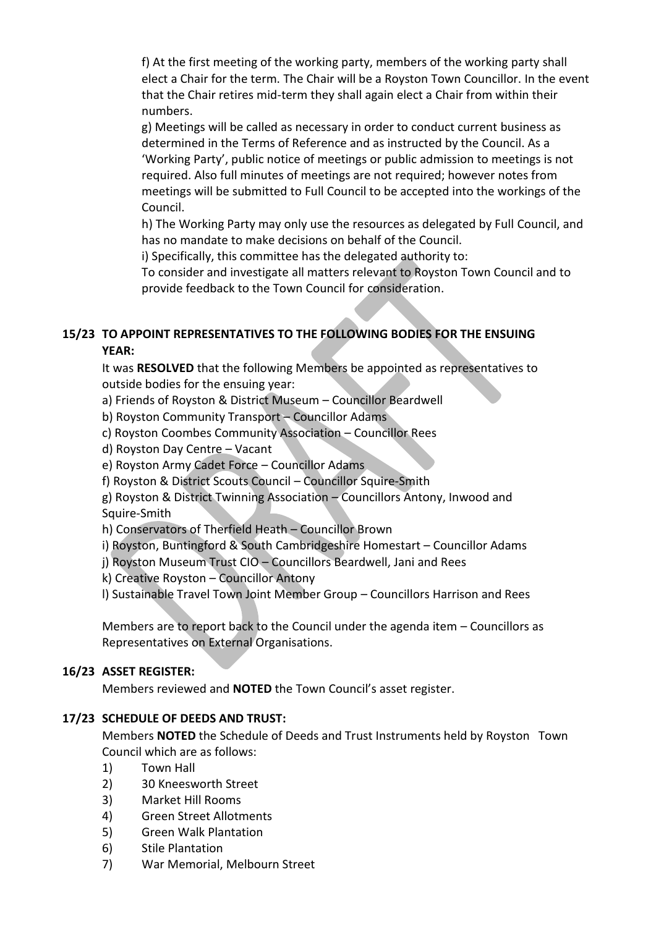f) At the first meeting of the working party, members of the working party shall elect a Chair for the term. The Chair will be a Royston Town Councillor. In the event that the Chair retires mid-term they shall again elect a Chair from within their numbers.

g) Meetings will be called as necessary in order to conduct current business as determined in the Terms of Reference and as instructed by the Council. As a 'Working Party', public notice of meetings or public admission to meetings is not required. Also full minutes of meetings are not required; however notes from meetings will be submitted to Full Council to be accepted into the workings of the Council.

h) The Working Party may only use the resources as delegated by Full Council, and has no mandate to make decisions on behalf of the Council.

i) Specifically, this committee has the delegated authority to:

To consider and investigate all matters relevant to Royston Town Council and to provide feedback to the Town Council for consideration.

# **15/23 TO APPOINT REPRESENTATIVES TO THE FOLLOWING BODIES FOR THE ENSUING YEAR:**

It was **RESOLVED** that the following Members be appointed as representatives to outside bodies for the ensuing year:

a) Friends of Royston & District Museum – Councillor Beardwell

b) Royston Community Transport – Councillor Adams

c) Royston Coombes Community Association – Councillor Rees

d) Royston Day Centre – Vacant

e) Royston Army Cadet Force – Councillor Adams

f) Royston & District Scouts Council – Councillor Squire-Smith

g) Royston & District Twinning Association – Councillors Antony, Inwood and Squire-Smith

h) Conservators of Therfield Heath – Councillor Brown

i) Royston, Buntingford & South Cambridgeshire Homestart – Councillor Adams

j) Royston Museum Trust CIO – Councillors Beardwell, Jani and Rees

k) Creative Royston – Councillor Antony

l) Sustainable Travel Town Joint Member Group – Councillors Harrison and Rees

Members are to report back to the Council under the agenda item – Councillors as Representatives on External Organisations.

# **16/23 ASSET REGISTER:**

Members reviewed and **NOTED** the Town Council's asset register.

# **17/23 SCHEDULE OF DEEDS AND TRUST:**

Members **NOTED** the Schedule of Deeds and Trust Instruments held by Royston Town Council which are as follows:

- 1) Town Hall
- 2) 30 Kneesworth Street
- 3) Market Hill Rooms
- 4) Green Street Allotments
- 5) Green Walk Plantation
- 6) Stile Plantation
- 7) War Memorial, Melbourn Street